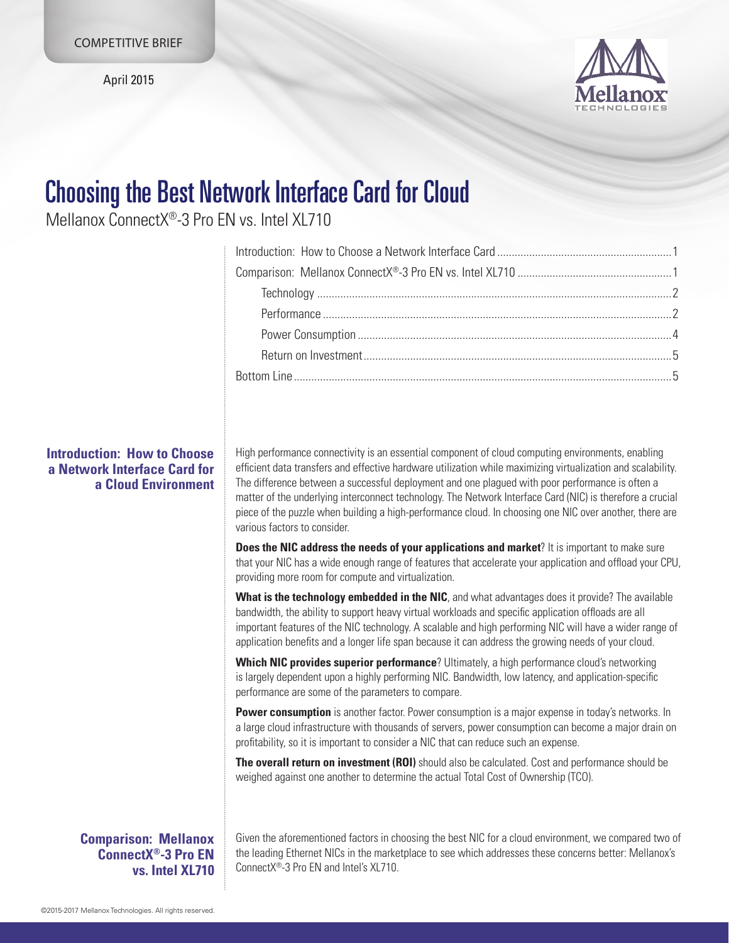April 2015



# Choosing the Best Network Interface Card for Cloud

Mellanox ConnectX®-3 Pro EN vs. Intel XL710

High performance connectivity is an essential component of cloud computing environments, enabling efficient data transfers and effective hardware utilization while maximizing virtualization and scalability. The difference between a successful deployment and one plagued with poor performance is often a matter of the underlying interconnect technology. The Network Interface Card (NIC) is therefore a crucial piece of the puzzle when building a high-performance cloud. In choosing one NIC over another, there are various factors to consider.

**Does the NIC address the needs of your applications and market?** It is important to make sure that your NIC has a wide enough range of features that accelerate your application and offload your CPU, providing more room for compute and virtualization.

**What is the technology embedded in the NIC**, and what advantages does it provide? The available bandwidth, the ability to support heavy virtual workloads and specific application offloads are all important features of the NIC technology. A scalable and high performing NIC will have a wider range of application benefits and a longer life span because it can address the growing needs of your cloud.

**Which NIC provides superior performance**? Ultimately, a high performance cloud's networking is largely dependent upon a highly performing NIC. Bandwidth, low latency, and application-specific performance are some of the parameters to compare.

**Power consumption** is another factor. Power consumption is a major expense in today's networks. In a large cloud infrastructure with thousands of servers, power consumption can become a major drain on profitability, so it is important to consider a NIC that can reduce such an expense.

**The overall return on investment (ROI)** should also be calculated. Cost and performance should be weighed against one another to determine the actual Total Cost of Ownership (TCO).

**Comparison: Mellanox ConnectX®-3 Pro EN vs. Intel XL710** Given the aforementioned factors in choosing the best NIC for a cloud environment, we compared two of the leading Ethernet NICs in the marketplace to see which addresses these concerns better: Mellanox's ConnectX®-3 Pro FN and Intel's XL710

# **Introduction: How to Choose a Network Interface Card for a Cloud Environment**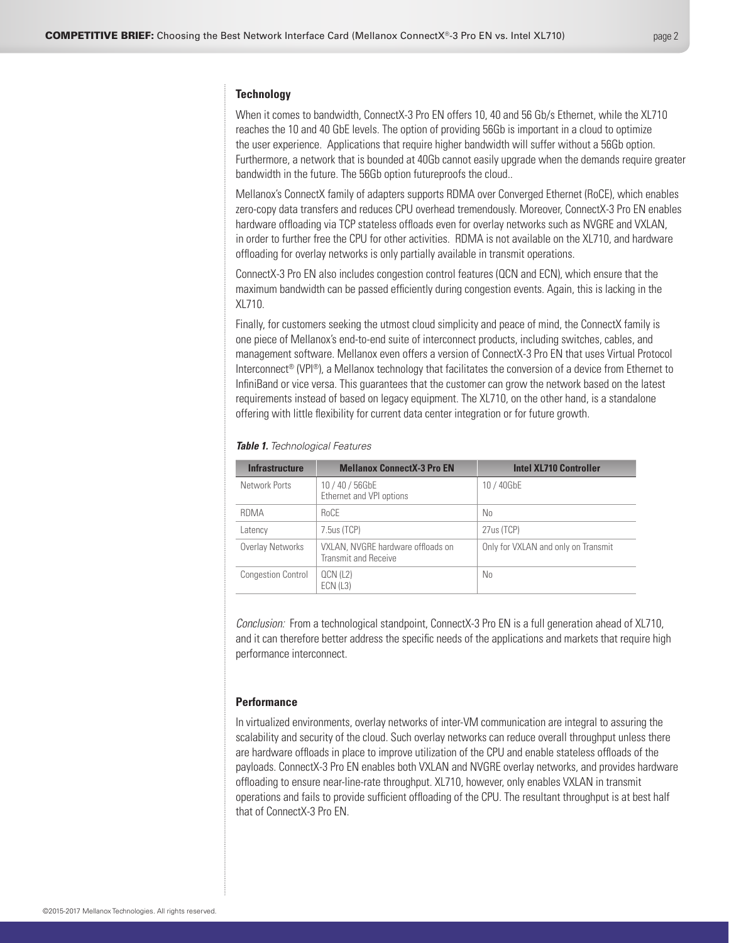# **Technology**

When it comes to bandwidth, ConnectX-3 Pro EN offers 10, 40 and 56 Gb/s Ethernet, while the XL710 reaches the 10 and 40 GbE levels. The option of providing 56Gb is important in a cloud to optimize the user experience. Applications that require higher bandwidth will suffer without a 56Gb option. Furthermore, a network that is bounded at 40Gb cannot easily upgrade when the demands require greater bandwidth in the future. The 56Gb option futureproofs the cloud..

Mellanox's ConnectX family of adapters supports RDMA over Converged Ethernet (RoCE), which enables zero-copy data transfers and reduces CPU overhead tremendously. Moreover, ConnectX-3 Pro EN enables hardware offloading via TCP stateless offloads even for overlay networks such as NVGRE and VXLAN, in order to further free the CPU for other activities. RDMA is not available on the XL710, and hardware offloading for overlay networks is only partially available in transmit operations.

ConnectX-3 Pro EN also includes congestion control features (QCN and ECN), which ensure that the maximum bandwidth can be passed efficiently during congestion events. Again, this is lacking in the XL710.

Finally, for customers seeking the utmost cloud simplicity and peace of mind, the ConnectX family is one piece of Mellanox's end-to-end suite of interconnect products, including switches, cables, and management software. Mellanox even offers a version of ConnectX-3 Pro EN that uses Virtual Protocol Interconnect<sup>®</sup> (VPI®), a Mellanox technology that facilitates the conversion of a device from Ethernet to InfiniBand or vice versa. This guarantees that the customer can grow the network based on the latest requirements instead of based on legacy equipment. The XL710, on the other hand, is a standalone offering with little flexibility for current data center integration or for future growth.

| <b>Infrastructure</b>     | <b>Mellanox ConnectX-3 Pro EN</b>                                | <b>Intel XL710 Controller</b>       |
|---------------------------|------------------------------------------------------------------|-------------------------------------|
| Network Ports             | 10/40/56GbE<br>Ethernet and VPI options                          | 10 / 40GbE                          |
| RDMA                      | <b>RoCE</b>                                                      | No                                  |
| Latency                   | 7.5us(TCP)                                                       | 27us (TCP)                          |
| Overlay Networks          | VXLAN, NVGRE hardware offloads on<br><b>Transmit and Receive</b> | Only for VXLAN and only on Transmit |
| <b>Congestion Control</b> | QCN (L2)<br>ECN(L3)                                              | No.                                 |

#### *Table 1. Technological Features*

*Conclusion:* From a technological standpoint, ConnectX-3 Pro EN is a full generation ahead of XL710, and it can therefore better address the specific needs of the applications and markets that require high performance interconnect.

## **Performance**

In virtualized environments, overlay networks of inter-VM communication are integral to assuring the scalability and security of the cloud. Such overlay networks can reduce overall throughput unless there are hardware offloads in place to improve utilization of the CPU and enable stateless offloads of the payloads. ConnectX-3 Pro EN enables both VXLAN and NVGRE overlay networks, and provides hardware offloading to ensure near-line-rate throughput. XL710, however, only enables VXLAN in transmit operations and fails to provide sufficient offloading of the CPU. The resultant throughput is at best half that of ConnectX-3 Pro EN.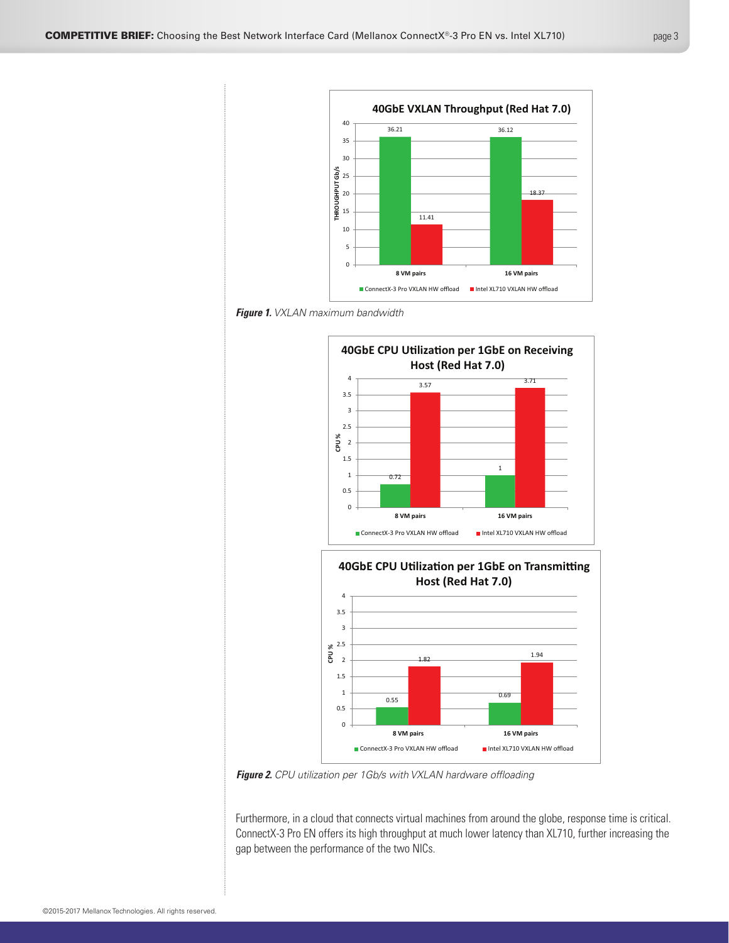







*Figure 2. CPU utilization per 1Gb/s with VXLAN hardware offloading*

Furthermore, in a cloud that connects virtual machines from around the globe, response time is critical. ConnectX-3 Pro EN offers its high throughput at much lower latency than XL710, further increasing the gap between the performance of the two NICs.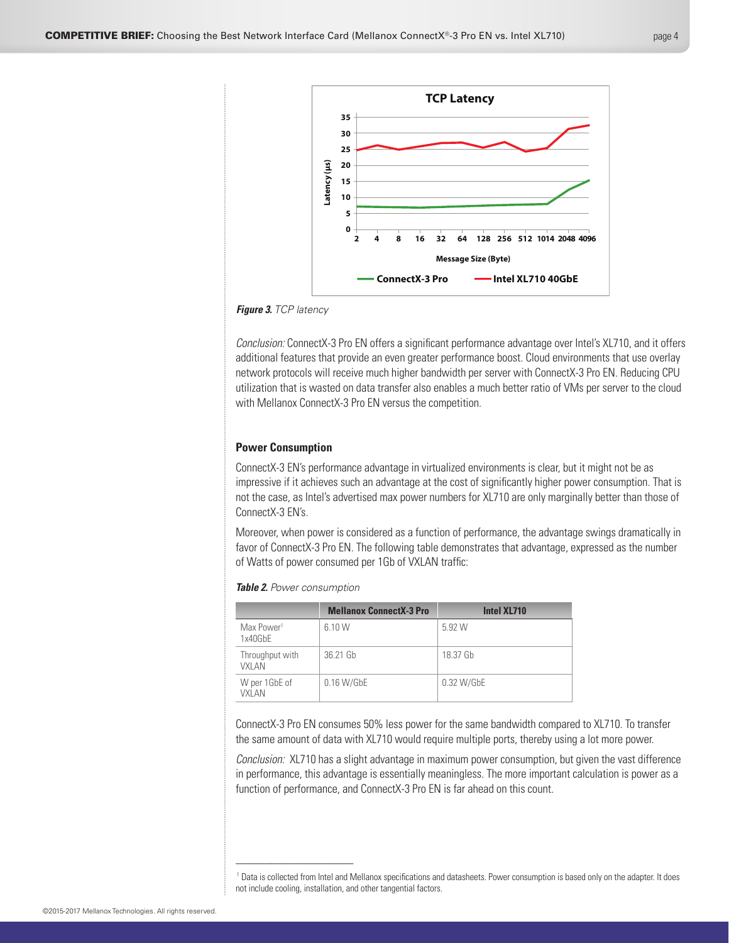

*Figure 3. TCP latency*

*Conclusion:* ConnectX-3 Pro EN offers a significant performance advantage over Intel's XL710, and it offers additional features that provide an even greater performance boost. Cloud environments that use overlay network protocols will receive much higher bandwidth per server with ConnectX-3 Pro EN. Reducing CPU utilization that is wasted on data transfer also enables a much better ratio of VMs per server to the cloud with Mellanox ConnectX-3 Pro EN versus the competition.

## **Power Consumption**

ConnectX-3 EN's performance advantage in virtualized environments is clear, but it might not be as impressive if it achieves such an advantage at the cost of significantly higher power consumption. That is not the case, as Intel's advertised max power numbers for XL710 are only marginally better than those of ConnectX-3 EN's.

Moreover, when power is considered as a function of performance, the advantage swings dramatically in favor of ConnectX-3 Pro EN. The following table demonstrates that advantage, expressed as the number of Watts of power consumed per 1Gb of VXLAN traffic:

| <b>Table 2.</b> Power consumption |  |  |  |
|-----------------------------------|--|--|--|
|-----------------------------------|--|--|--|

\_\_\_\_\_\_\_\_\_\_\_\_\_\_\_\_\_\_\_\_

|                                   | <b>Mellanox ConnectX-3 Pro</b> | Intel XL710 |
|-----------------------------------|--------------------------------|-------------|
| Max Power <sup>1</sup><br>1x40GbE | 6.10 W                         | 5.92 W      |
| Throughput with<br>VXI AN         | 36.21 Gb                       | 18.37 Gb    |
| W per 1GbE of<br>VXI AN           | $0.16$ W/GbE                   | 0.32 W/GbE  |

ConnectX-3 Pro EN consumes 50% less power for the same bandwidth compared to XL710. To transfer the same amount of data with XL710 would require multiple ports, thereby using a lot more power.

*Conclusion:* XL710 has a slight advantage in maximum power consumption, but given the vast difference in performance, this advantage is essentially meaningless. The more important calculation is power as a function of performance, and ConnectX-3 Pro EN is far ahead on this count.

<sup>1</sup> Data is collected from Intel and Mellanox specifications and datasheets. Power consumption is based only on the adapter. It does not include cooling, installation, and other tangential factors.